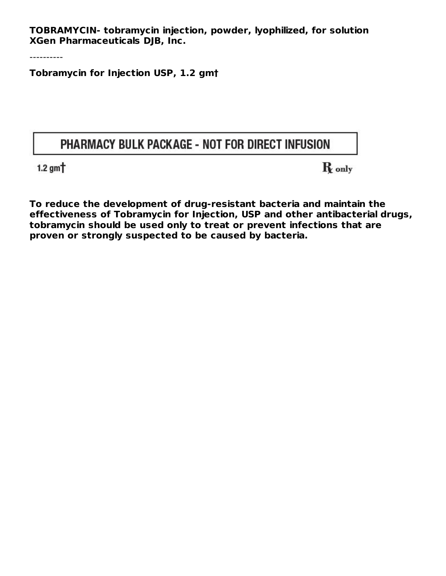**TOBRAMYCIN- tobramycin injection, powder, lyophilized, for solution XGen Pharmaceuticals DJB, Inc.**

----------

**Tobramycin for Injection USP, 1.2 gm†**

# PHARMACY BULK PACKAGE - NOT FOR DIRECT INFUSION

1.2  $gm<sup>+</sup>$ 

 $\mathbf R$  only

**To reduce the development of drug-resistant bacteria and maintain the effectiveness of Tobramycin for Injection, USP and other antibacterial drugs, tobramycin should be used only to treat or prevent infections that are proven or strongly suspected to be caused by bacteria.**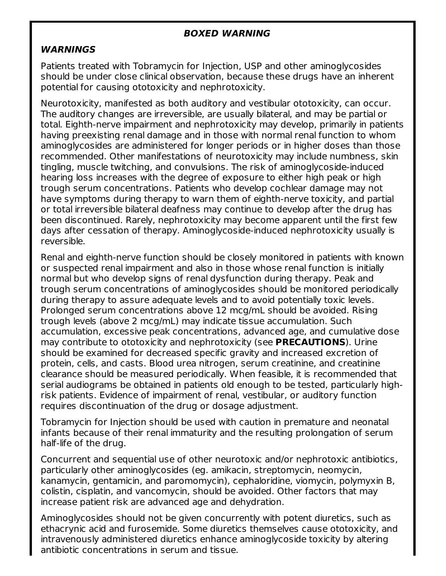### **BOXED WARNING**

#### **WARNINGS**

Patients treated with Tobramycin for Injection, USP and other aminoglycosides should be under close clinical observation, because these drugs have an inherent potential for causing ototoxicity and nephrotoxicity.

Neurotoxicity, manifested as both auditory and vestibular ototoxicity, can occur. The auditory changes are irreversible, are usually bilateral, and may be partial or total. Eighth-nerve impairment and nephrotoxicity may develop, primarily in patients having preexisting renal damage and in those with normal renal function to whom aminoglycosides are administered for longer periods or in higher doses than those recommended. Other manifestations of neurotoxicity may include numbness, skin tingling, muscle twitching, and convulsions. The risk of aminoglycoside-induced hearing loss increases with the degree of exposure to either high peak or high trough serum concentrations. Patients who develop cochlear damage may not have symptoms during therapy to warn them of eighth-nerve toxicity, and partial or total irreversible bilateral deafness may continue to develop after the drug has been discontinued. Rarely, nephrotoxicity may become apparent until the first few days after cessation of therapy. Aminoglycoside-induced nephrotoxicity usually is reversible.

Renal and eighth-nerve function should be closely monitored in patients with known or suspected renal impairment and also in those whose renal function is initially normal but who develop signs of renal dysfunction during therapy. Peak and trough serum concentrations of aminoglycosides should be monitored periodically during therapy to assure adequate levels and to avoid potentially toxic levels. Prolonged serum concentrations above 12 mcg/mL should be avoided. Rising trough levels (above 2 mcg/mL) may indicate tissue accumulation. Such accumulation, excessive peak concentrations, advanced age, and cumulative dose may contribute to ototoxicity and nephrotoxicity (see **PRECAUTIONS**). Urine should be examined for decreased specific gravity and increased excretion of protein, cells, and casts. Blood urea nitrogen, serum creatinine, and creatinine clearance should be measured periodically. When feasible, it is recommended that serial audiograms be obtained in patients old enough to be tested, particularly highrisk patients. Evidence of impairment of renal, vestibular, or auditory function requires discontinuation of the drug or dosage adjustment.

Tobramycin for Injection should be used with caution in premature and neonatal infants because of their renal immaturity and the resulting prolongation of serum half-life of the drug.

Concurrent and sequential use of other neurotoxic and/or nephrotoxic antibiotics, particularly other aminoglycosides (eg. amikacin, streptomycin, neomycin, kanamycin, gentamicin, and paromomycin), cephaloridine, viomycin, polymyxin B, colistin, cisplatin, and vancomycin, should be avoided. Other factors that may increase patient risk are advanced age and dehydration.

Aminoglycosides should not be given concurrently with potent diuretics, such as ethacrynic acid and furosemide. Some diuretics themselves cause ototoxicity, and intravenously administered diuretics enhance aminoglycoside toxicity by altering antibiotic concentrations in serum and tissue.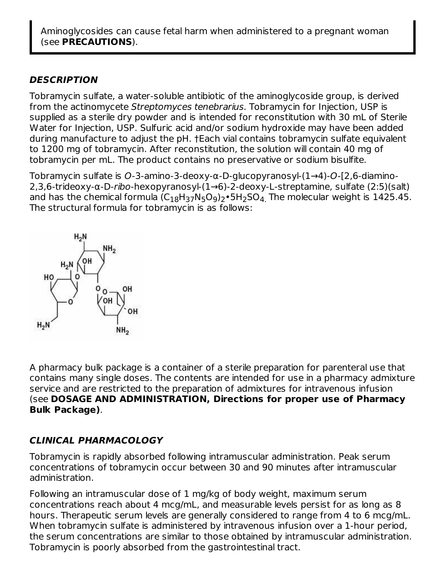## **DESCRIPTION**

Tobramycin sulfate, a water-soluble antibiotic of the aminoglycoside group, is derived from the actinomycete Streptomyces tenebrarius. Tobramycin for Injection, USP is supplied as a sterile dry powder and is intended for reconstitution with 30 mL of Sterile Water for Injection, USP. Sulfuric acid and/or sodium hydroxide may have been added during manufacture to adjust the pH. †Each vial contains tobramycin sulfate equivalent to 1200 mg of tobramycin. After reconstitution, the solution will contain 40 mg of tobramycin per mL. The product contains no preservative or sodium bisulfite.

Tobramycin sulfate is O-3-amino-3-deoxy-α-D-glucopyranosyl-(1→4)-O-[2,6-diamino-2,3,6-trideoxy-α-D-ribo-hexopyranosyl-(1→6)-2-deoxy-L-streptamine, sulfate (2:5)(salt) and has the chemical formula (C $_{18}$ H $_{37}$ N $_{5}$ O $_{9})_{2}$ •5H $_{2}$ SO $_{4}$  The molecular weight is 1425.45. The structural formula for tobramycin is as follows:



A pharmacy bulk package is a container of a sterile preparation for parenteral use that contains many single doses. The contents are intended for use in a pharmacy admixture service and are restricted to the preparation of admixtures for intravenous infusion (see **DOSAGE AND ADMINISTRATION, Directions for proper use of Pharmacy Bulk Package)**.

## **CLINICAL PHARMACOLOGY**

Tobramycin is rapidly absorbed following intramuscular administration. Peak serum concentrations of tobramycin occur between 30 and 90 minutes after intramuscular administration.

Following an intramuscular dose of 1 mg/kg of body weight, maximum serum concentrations reach about 4 mcg/mL, and measurable levels persist for as long as 8 hours. Therapeutic serum levels are generally considered to range from 4 to 6 mcg/mL. When tobramycin sulfate is administered by intravenous infusion over a 1-hour period, the serum concentrations are similar to those obtained by intramuscular administration. Tobramycin is poorly absorbed from the gastrointestinal tract.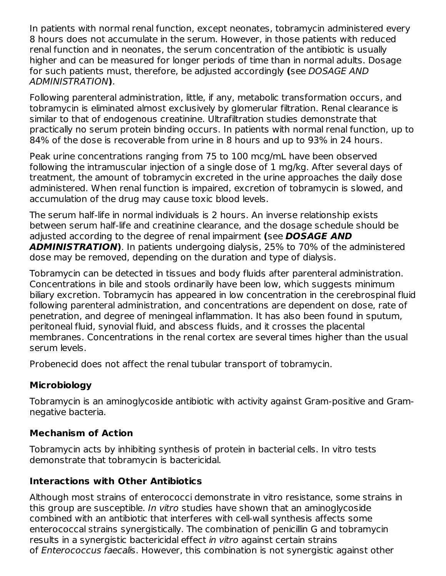In patients with normal renal function, except neonates, tobramycin administered every 8 hours does not accumulate in the serum. However, in those patients with reduced renal function and in neonates, the serum concentration of the antibiotic is usually higher and can be measured for longer periods of time than in normal adults. Dosage for such patients must, therefore, be adjusted accordingly **(**see DOSAGE AND ADMINISTRATION**)**.

Following parenteral administration, little, if any, metabolic transformation occurs, and tobramycin is eliminated almost exclusively by glomerular filtration. Renal clearance is similar to that of endogenous creatinine. Ultrafiltration studies demonstrate that practically no serum protein binding occurs. In patients with normal renal function, up to 84% of the dose is recoverable from urine in 8 hours and up to 93% in 24 hours.

Peak urine concentrations ranging from 75 to 100 mcg/mL have been observed following the intramuscular injection of a single dose of 1 mg/kg. After several days of treatment, the amount of tobramycin excreted in the urine approaches the daily dose administered. When renal function is impaired, excretion of tobramycin is slowed, and accumulation of the drug may cause toxic blood levels.

The serum half-life in normal individuals is 2 hours. An inverse relationship exists between serum half-life and creatinine clearance, and the dosage schedule should be adjusted according to the degree of renal impairment **(**see **DOSAGE AND ADMINISTRATION)**. In patients undergoing dialysis, 25% to 70% of the administered dose may be removed, depending on the duration and type of dialysis.

Tobramycin can be detected in tissues and body fluids after parenteral administration. Concentrations in bile and stools ordinarily have been low, which suggests minimum biliary excretion. Tobramycin has appeared in low concentration in the cerebrospinal fluid following parenteral administration, and concentrations are dependent on dose, rate of penetration, and degree of meningeal inflammation. It has also been found in sputum, peritoneal fluid, synovial fluid, and abscess fluids, and it crosses the placental membranes. Concentrations in the renal cortex are several times higher than the usual serum levels.

Probenecid does not affect the renal tubular transport of tobramycin.

## **Microbiology**

Tobramycin is an aminoglycoside antibiotic with activity against Gram-positive and Gramnegative bacteria.

## **Mechanism of Action**

Tobramycin acts by inhibiting synthesis of protein in bacterial cells. In vitro tests demonstrate that tobramycin is bactericidal.

## **Interactions with Other Antibiotics**

Although most strains of enterococci demonstrate in vitro resistance, some strains in this group are susceptible. In vitro studies have shown that an aminoglycoside combined with an antibiotic that interferes with cell-wall synthesis affects some enterococcal strains synergistically. The combination of penicillin G and tobramycin results in a synergistic bactericidal effect in vitro against certain strains of Enterococcus faecalis. However, this combination is not synergistic against other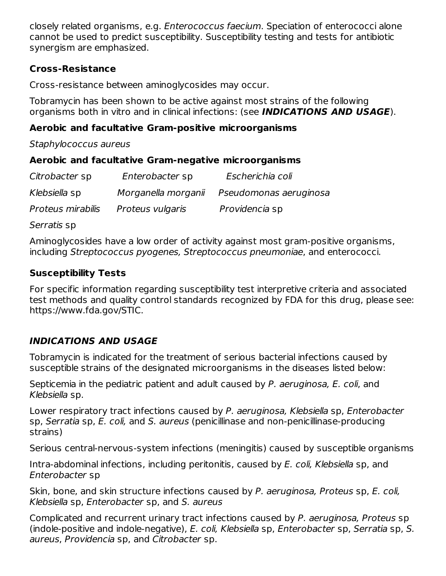closely related organisms, e.g. Enterococcus faecium. Speciation of enterococci alone cannot be used to predict susceptibility. Susceptibility testing and tests for antibiotic synergism are emphasized.

## **Cross-Resistance**

Cross-resistance between aminoglycosides may occur.

Tobramycin has been shown to be active against most strains of the following organisms both in vitro and in clinical infections: (see **INDICATIONS AND USAGE**).

## **Aerobic and facultative Gram-positive microorganisms**

Staphylococcus aureus

## **Aerobic and facultative Gram-negative microorganisms**

| Citrobacter sp    | Enterobacter sp     | Escherichia coli       |
|-------------------|---------------------|------------------------|
| Klebsiella sp     | Morganella morganii | Pseudomonas aeruginosa |
| Proteus mirabilis | Proteus vulgaris    | Providencia sp         |

Serratis sp

Aminoglycosides have a low order of activity against most gram-positive organisms, including Streptococcus pyogenes, Streptococcus pneumoniae, and enterococci.

## **Susceptibility Tests**

For specific information regarding susceptibility test interpretive criteria and associated test methods and quality control standards recognized by FDA for this drug, please see: https://www.fda.gov/STIC.

## **INDICATIONS AND USAGE**

Tobramycin is indicated for the treatment of serious bacterial infections caused by susceptible strains of the designated microorganisms in the diseases listed below:

Septicemia in the pediatric patient and adult caused by P. aeruginosa, E. coli, and Klebsiella sp.

Lower respiratory tract infections caused by P. aeruginosa, Klebsiella sp, Enterobacter sp, Serratia sp, E. coli, and S. aureus (penicillinase and non-penicillinase-producing strains)

Serious central-nervous-system infections (meningitis) caused by susceptible organisms

Intra-abdominal infections, including peritonitis, caused by E. coli, Klebsiella sp, and Enterobacter sp

Skin, bone, and skin structure infections caused by P. aeruginosa, Proteus sp, E. coli, Klebsiella sp, Enterobacter sp, and S. aureus

Complicated and recurrent urinary tract infections caused by P. aeruginosa, Proteus sp (indole-positive and indole-negative), E. coli, Klebsiella sp, Enterobacter sp, Serratia sp, S. aureus, Providencia sp, and Citrobacter sp.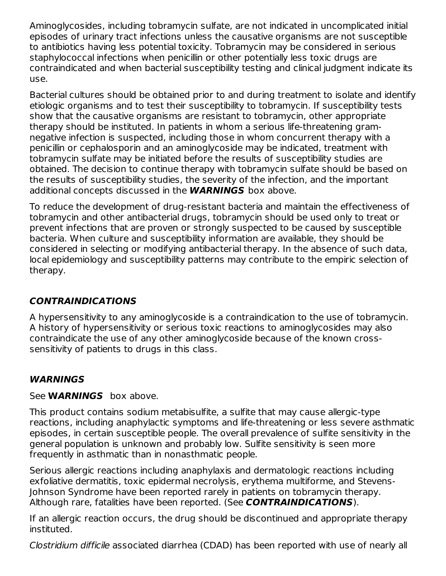Aminoglycosides, including tobramycin sulfate, are not indicated in uncomplicated initial episodes of urinary tract infections unless the causative organisms are not susceptible to antibiotics having less potential toxicity. Tobramycin may be considered in serious staphylococcal infections when penicillin or other potentially less toxic drugs are contraindicated and when bacterial susceptibility testing and clinical judgment indicate its use.

Bacterial cultures should be obtained prior to and during treatment to isolate and identify etiologic organisms and to test their susceptibility to tobramycin. If susceptibility tests show that the causative organisms are resistant to tobramycin, other appropriate therapy should be instituted. In patients in whom a serious life-threatening gramnegative infection is suspected, including those in whom concurrent therapy with a penicillin or cephalosporin and an aminoglycoside may be indicated, treatment with tobramycin sulfate may be initiated before the results of susceptibility studies are obtained. The decision to continue therapy with tobramycin sulfate should be based on the results of susceptibility studies, the severity of the infection, and the important additional concepts discussed in the **WARNINGS** box above.

To reduce the development of drug-resistant bacteria and maintain the effectiveness of tobramycin and other antibacterial drugs, tobramycin should be used only to treat or prevent infections that are proven or strongly suspected to be caused by susceptible bacteria. When culture and susceptibility information are available, they should be considered in selecting or modifying antibacterial therapy. In the absence of such data, local epidemiology and susceptibility patterns may contribute to the empiric selection of therapy.

## **CONTRAINDICATIONS**

A hypersensitivity to any aminoglycoside is a contraindication to the use of tobramycin. A history of hypersensitivity or serious toxic reactions to aminoglycosides may also contraindicate the use of any other aminoglycoside because of the known crosssensitivity of patients to drugs in this class.

## **WARNINGS**

### See **WARNINGS** box above.

This product contains sodium metabisulfite, a sulfite that may cause allergic-type reactions, including anaphylactic symptoms and life-threatening or less severe asthmatic episodes, in certain susceptible people. The overall prevalence of sulfite sensitivity in the general population is unknown and probably low. Sulfite sensitivity is seen more frequently in asthmatic than in nonasthmatic people.

Serious allergic reactions including anaphylaxis and dermatologic reactions including exfoliative dermatitis, toxic epidermal necrolysis, erythema multiforme, and Stevens-Johnson Syndrome have been reported rarely in patients on tobramycin therapy. Although rare, fatalities have been reported. (See **CONTRAINDICATIONS**).

If an allergic reaction occurs, the drug should be discontinued and appropriate therapy instituted.

Clostridium difficile associated diarrhea (CDAD) has been reported with use of nearly all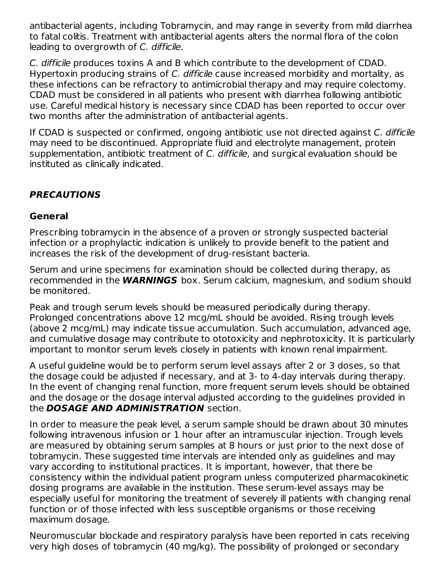antibacterial agents, including Tobramycin, and may range in severity from mild diarrhea to fatal colitis. Treatment with antibacterial agents alters the normal flora of the colon leading to overgrowth of C. difficile.

C. difficile produces toxins A and B which contribute to the development of CDAD. Hypertoxin producing strains of C. difficile cause increased morbidity and mortality, as these infections can be refractory to antimicrobial therapy and may require colectomy. CDAD must be considered in all patients who present with diarrhea following antibiotic use. Careful medical history is necessary since CDAD has been reported to occur over two months after the administration of antibacterial agents.

If CDAD is suspected or confirmed, ongoing antibiotic use not directed against C. difficile may need to be discontinued. Appropriate fluid and electrolyte management, protein supplementation, antibiotic treatment of C. difficile, and surgical evaluation should be instituted as clinically indicated.

## **PRECAUTIONS**

### **General**

Prescribing tobramycin in the absence of a proven or strongly suspected bacterial infection or a prophylactic indication is unlikely to provide benefit to the patient and increases the risk of the development of drug-resistant bacteria.

Serum and urine specimens for examination should be collected during therapy, as recommended in the **WARNINGS** box. Serum calcium, magnesium, and sodium should be monitored.

Peak and trough serum levels should be measured periodically during therapy. Prolonged concentrations above 12 mcg/mL should be avoided. Rising trough levels (above 2 mcg/mL) may indicate tissue accumulation. Such accumulation, advanced age, and cumulative dosage may contribute to ototoxicity and nephrotoxicity. It is particularly important to monitor serum levels closely in patients with known renal impairment.

A useful guideline would be to perform serum level assays after 2 or 3 doses, so that the dosage could be adjusted if necessary, and at 3- to 4-day intervals during therapy. In the event of changing renal function, more frequent serum levels should be obtained and the dosage or the dosage interval adjusted according to the guidelines provided in the **DOSAGE AND ADMINISTRATION** section.

In order to measure the peak level, a serum sample should be drawn about 30 minutes following intravenous infusion or 1 hour after an intramuscular injection. Trough levels are measured by obtaining serum samples at 8 hours or just prior to the next dose of tobramycin. These suggested time intervals are intended only as guidelines and may vary according to institutional practices. It is important, however, that there be consistency within the individual patient program unless computerized pharmacokinetic dosing programs are available in the institution. These serum-level assays may be especially useful for monitoring the treatment of severely ill patients with changing renal function or of those infected with less susceptible organisms or those receiving maximum dosage.

Neuromuscular blockade and respiratory paralysis have been reported in cats receiving very high doses of tobramycin (40 mg/kg). The possibility of prolonged or secondary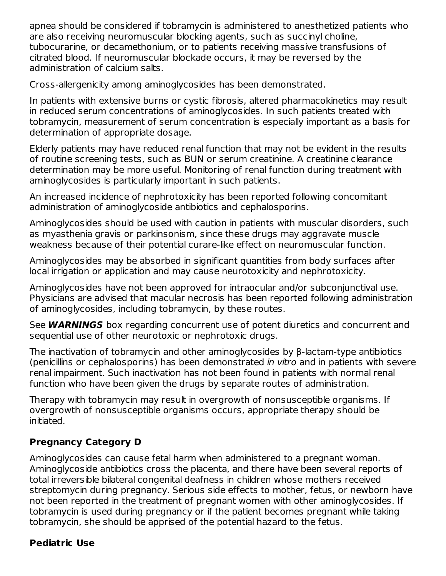apnea should be considered if tobramycin is administered to anesthetized patients who are also receiving neuromuscular blocking agents, such as succinyl choline, tubocurarine, or decamethonium, or to patients receiving massive transfusions of citrated blood. If neuromuscular blockade occurs, it may be reversed by the administration of calcium salts.

Cross-allergenicity among aminoglycosides has been demonstrated.

In patients with extensive burns or cystic fibrosis, altered pharmacokinetics may result in reduced serum concentrations of aminoglycosides. In such patients treated with tobramycin, measurement of serum concentration is especially important as a basis for determination of appropriate dosage.

Elderly patients may have reduced renal function that may not be evident in the results of routine screening tests, such as BUN or serum creatinine. A creatinine clearance determination may be more useful. Monitoring of renal function during treatment with aminoglycosides is particularly important in such patients.

An increased incidence of nephrotoxicity has been reported following concomitant administration of aminoglycoside antibiotics and cephalosporins.

Aminoglycosides should be used with caution in patients with muscular disorders, such as myasthenia gravis or parkinsonism, since these drugs may aggravate muscle weakness because of their potential curare-like effect on neuromuscular function.

Aminoglycosides may be absorbed in significant quantities from body surfaces after local irrigation or application and may cause neurotoxicity and nephrotoxicity.

Aminoglycosides have not been approved for intraocular and/or subconjunctival use. Physicians are advised that macular necrosis has been reported following administration of aminoglycosides, including tobramycin, by these routes.

See **WARNINGS** box regarding concurrent use of potent diuretics and concurrent and sequential use of other neurotoxic or nephrotoxic drugs.

The inactivation of tobramycin and other aminoglycosides by β-lactam-type antibiotics (penicillins or cephalosporins) has been demonstrated in vitro and in patients with severe renal impairment. Such inactivation has not been found in patients with normal renal function who have been given the drugs by separate routes of administration.

Therapy with tobramycin may result in overgrowth of nonsusceptible organisms. If overgrowth of nonsusceptible organisms occurs, appropriate therapy should be initiated.

## **Pregnancy Category D**

Aminoglycosides can cause fetal harm when administered to a pregnant woman. Aminoglycoside antibiotics cross the placenta, and there have been several reports of total irreversible bilateral congenital deafness in children whose mothers received streptomycin during pregnancy. Serious side effects to mother, fetus, or newborn have not been reported in the treatment of pregnant women with other aminoglycosides. If tobramycin is used during pregnancy or if the patient becomes pregnant while taking tobramycin, she should be apprised of the potential hazard to the fetus.

## **Pediatric Use**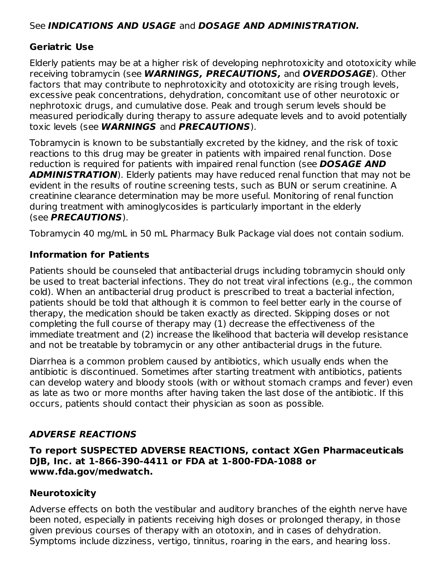### See **INDICATIONS AND USAGE** and **DOSAGE AND ADMINISTRATION.**

### **Geriatric Use**

Elderly patients may be at a higher risk of developing nephrotoxicity and ototoxicity while receiving tobramycin (see **WARNINGS, PRECAUTIONS,** and **OVERDOSAGE**). Other factors that may contribute to nephrotoxicity and ototoxicity are rising trough levels, excessive peak concentrations, dehydration, concomitant use of other neurotoxic or nephrotoxic drugs, and cumulative dose. Peak and trough serum levels should be measured periodically during therapy to assure adequate levels and to avoid potentially toxic levels (see **WARNINGS** and **PRECAUTIONS**).

Tobramycin is known to be substantially excreted by the kidney, and the risk of toxic reactions to this drug may be greater in patients with impaired renal function. Dose reduction is required for patients with impaired renal function (see **DOSAGE AND ADMINISTRATION**). Elderly patients may have reduced renal function that may not be evident in the results of routine screening tests, such as BUN or serum creatinine. A creatinine clearance determination may be more useful. Monitoring of renal function during treatment with aminoglycosides is particularly important in the elderly (see **PRECAUTIONS**).

Tobramycin 40 mg/mL in 50 mL Pharmacy Bulk Package vial does not contain sodium.

### **Information for Patients**

Patients should be counseled that antibacterial drugs including tobramycin should only be used to treat bacterial infections. They do not treat viral infections (e.g., the common cold). When an antibacterial drug product is prescribed to treat a bacterial infection, patients should be told that although it is common to feel better early in the course of therapy, the medication should be taken exactly as directed. Skipping doses or not completing the full course of therapy may (1) decrease the effectiveness of the immediate treatment and (2) increase the likelihood that bacteria will develop resistance and not be treatable by tobramycin or any other antibacterial drugs in the future.

Diarrhea is a common problem caused by antibiotics, which usually ends when the antibiotic is discontinued. Sometimes after starting treatment with antibiotics, patients can develop watery and bloody stools (with or without stomach cramps and fever) even as late as two or more months after having taken the last dose of the antibiotic. If this occurs, patients should contact their physician as soon as possible.

## **ADVERSE REACTIONS**

#### **To report SUSPECTED ADVERSE REACTIONS, contact XGen Pharmaceuticals DJB, Inc. at 1-866-390-4411 or FDA at 1-800-FDA-1088 or www.fda.gov/medwatch.**

### **Neurotoxicity**

Adverse effects on both the vestibular and auditory branches of the eighth nerve have been noted, especially in patients receiving high doses or prolonged therapy, in those given previous courses of therapy with an ototoxin, and in cases of dehydration. Symptoms include dizziness, vertigo, tinnitus, roaring in the ears, and hearing loss.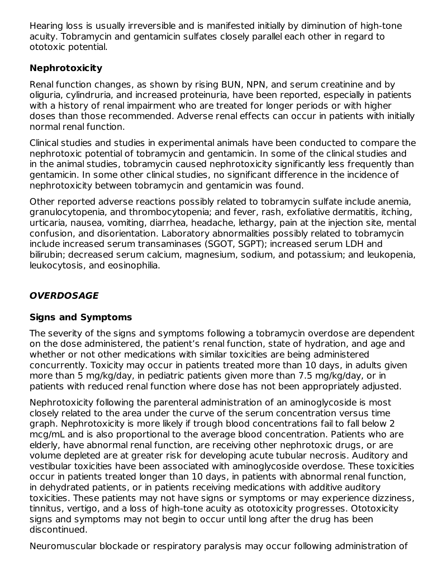Hearing loss is usually irreversible and is manifested initially by diminution of high-tone acuity. Tobramycin and gentamicin sulfates closely parallel each other in regard to ototoxic potential.

## **Nephrotoxicity**

Renal function changes, as shown by rising BUN, NPN, and serum creatinine and by oliguria, cylindruria, and increased proteinuria, have been reported, especially in patients with a history of renal impairment who are treated for longer periods or with higher doses than those recommended. Adverse renal effects can occur in patients with initially normal renal function.

Clinical studies and studies in experimental animals have been conducted to compare the nephrotoxic potential of tobramycin and gentamicin. In some of the clinical studies and in the animal studies, tobramycin caused nephrotoxicity significantly less frequently than gentamicin. In some other clinical studies, no significant difference in the incidence of nephrotoxicity between tobramycin and gentamicin was found.

Other reported adverse reactions possibly related to tobramycin sulfate include anemia, granulocytopenia, and thrombocytopenia; and fever, rash, exfoliative dermatitis, itching, urticaria, nausea, vomiting, diarrhea, headache, lethargy, pain at the injection site, mental confusion, and disorientation. Laboratory abnormalities possibly related to tobramycin include increased serum transaminases (SGOT, SGPT); increased serum LDH and bilirubin; decreased serum calcium, magnesium, sodium, and potassium; and leukopenia, leukocytosis, and eosinophilia.

## **OVERDOSAGE**

## **Signs and Symptoms**

The severity of the signs and symptoms following a tobramycin overdose are dependent on the dose administered, the patient's renal function, state of hydration, and age and whether or not other medications with similar toxicities are being administered concurrently. Toxicity may occur in patients treated more than 10 days, in adults given more than 5 mg/kg/day, in pediatric patients given more than 7.5 mg/kg/day, or in patients with reduced renal function where dose has not been appropriately adjusted.

Nephrotoxicity following the parenteral administration of an aminoglycoside is most closely related to the area under the curve of the serum concentration versus time graph. Nephrotoxicity is more likely if trough blood concentrations fail to fall below 2 mcg/mL and is also proportional to the average blood concentration. Patients who are elderly, have abnormal renal function, are receiving other nephrotoxic drugs, or are volume depleted are at greater risk for developing acute tubular necrosis. Auditory and vestibular toxicities have been associated with aminoglycoside overdose. These toxicities occur in patients treated longer than 10 days, in patients with abnormal renal function, in dehydrated patients, or in patients receiving medications with additive auditory toxicities. These patients may not have signs or symptoms or may experience dizziness, tinnitus, vertigo, and a loss of high-tone acuity as ototoxicity progresses. Ototoxicity signs and symptoms may not begin to occur until long after the drug has been discontinued.

Neuromuscular blockade or respiratory paralysis may occur following administration of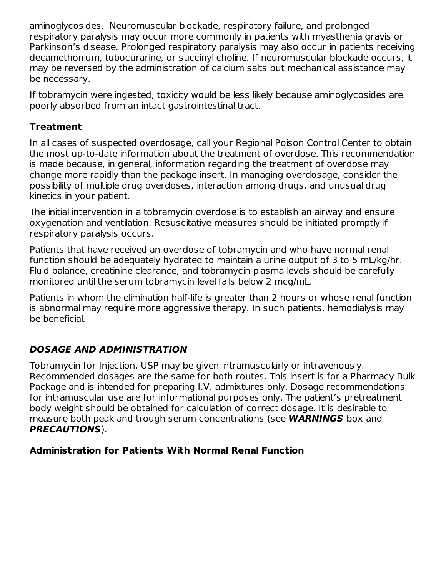aminoglycosides. Neuromuscular blockade, respiratory failure, and prolonged respiratory paralysis may occur more commonly in patients with myasthenia gravis or Parkinson's disease. Prolonged respiratory paralysis may also occur in patients receiving decamethonium, tubocurarine, or succinyl choline. If neuromuscular blockade occurs, it may be reversed by the administration of calcium salts but mechanical assistance may be necessary.

If tobramycin were ingested, toxicity would be less likely because aminoglycosides are poorly absorbed from an intact gastrointestinal tract.

### **Treatment**

In all cases of suspected overdosage, call your Regional Poison Control Center to obtain the most up-to-date information about the treatment of overdose. This recommendation is made because, in general, information regarding the treatment of overdose may change more rapidly than the package insert. In managing overdosage, consider the possibility of multiple drug overdoses, interaction among drugs, and unusual drug kinetics in your patient.

The initial intervention in a tobramycin overdose is to establish an airway and ensure oxygenation and ventilation. Resuscitative measures should be initiated promptly if respiratory paralysis occurs.

Patients that have received an overdose of tobramycin and who have normal renal function should be adequately hydrated to maintain a urine output of 3 to 5 mL/kg/hr. Fluid balance, creatinine clearance, and tobramycin plasma levels should be carefully monitored until the serum tobramycin level falls below 2 mcg/mL.

Patients in whom the elimination half-life is greater than 2 hours or whose renal function is abnormal may require more aggressive therapy. In such patients, hemodialysis may be beneficial.

## **DOSAGE AND ADMINISTRATION**

Tobramycin for Injection, USP may be given intramuscularly or intravenously. Recommended dosages are the same for both routes. This insert is for a Pharmacy Bulk Package and is intended for preparing I.V. admixtures only. Dosage recommendations for intramuscular use are for informational purposes only. The patient's pretreatment body weight should be obtained for calculation of correct dosage. It is desirable to measure both peak and trough serum concentrations (see **WARNINGS** box and **PRECAUTIONS**).

## **Administration for Patients With Normal Renal Function**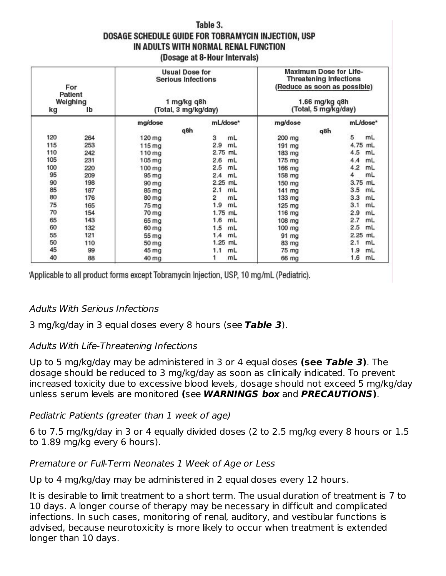#### Table 3. DOSAGE SCHEDULE GUIDE FOR TOBRAMYCIN INJECTION, USP IN ADULTS WITH NORMAL RENAL FUNCTION (Dosage at 8-Hour Intervals)

| For<br>Patient<br>Weighing<br>Ib<br>kg |     | Usual Dose for<br><b>Serious Infections</b><br>1 mg/kg q8h<br>(Total, 3 mg/kg/day) |           | Maximum Dose for Life-<br><b>Threatening Infections</b><br>(Reduce as soon as possible)<br>1.66 mg/kg q8h<br>(Total, 5 mg/kg/day) |                       |
|----------------------------------------|-----|------------------------------------------------------------------------------------|-----------|-----------------------------------------------------------------------------------------------------------------------------------|-----------------------|
|                                        |     | mg/dose                                                                            | mL/dose*  | mg/dose                                                                                                                           | mL/dose*              |
|                                        |     |                                                                                    | q8h       |                                                                                                                                   | q8h                   |
| 120                                    | 264 | $120$ mg                                                                           | 3<br>mL   | 200 mg                                                                                                                            | 5<br>mL               |
| 115                                    | 253 | $115 \text{ mg}$                                                                   | 2.9<br>mL | 191 mg                                                                                                                            | 4.75 mL               |
| 110                                    | 242 | 110 <sub>mg</sub>                                                                  | 2.75 mL   | 183 mg                                                                                                                            | 4.5<br>mL             |
| 105                                    | 231 | 105 <sub>mg</sub>                                                                  | 2.6<br>mL | $175 \text{ mg}$                                                                                                                  | 4.4<br>mL             |
| 100                                    | 220 | $100 \text{ mg}$                                                                   | 2.5<br>mL | 166 mg                                                                                                                            | 4.2<br>mL             |
| 95                                     | 209 | 95 mg                                                                              | 2.4<br>mL | 158 mg                                                                                                                            | 4<br>mL               |
| 90                                     | 198 | 90 mg                                                                              | $2.25$ mL | 150 mg                                                                                                                            | 3.75 mL               |
| 85                                     | 187 | 85 mg                                                                              | 2.1<br>mL | $141$ mg                                                                                                                          | 3.5<br>mL             |
| 80                                     | 176 | 80 mg                                                                              | 2<br>mL   | 133 mg                                                                                                                            | 3.3<br>mL             |
| 75                                     | 165 | 75 mg                                                                              | 1.9<br>mL | $125$ mg                                                                                                                          | 3.1<br>m <sub>L</sub> |
| 70                                     | 154 | 70 mg                                                                              | $1.75$ mL | 116 mg                                                                                                                            | 2.9<br>mL             |
| 65                                     | 143 | 65 mg                                                                              | 1.6<br>mL | $108$ mg                                                                                                                          | 2.7<br>mL             |
| 60                                     | 132 | 60 mg                                                                              | 1.5<br>mL | 100 mg                                                                                                                            | 2.5<br>mL             |
| 55                                     | 121 | 55 mg                                                                              | 1.4<br>mL | 91 mg                                                                                                                             | 2.25 mL               |
| 50                                     | 110 | 50 mg                                                                              | $1.25$ mL | 83 mg                                                                                                                             | 2.1<br>mL             |
| 45                                     | 99  | 45 mg                                                                              | 1.1<br>mL | 75 mg                                                                                                                             | 1.9<br>mL             |
| 40                                     | 88  | 40 mg                                                                              | mL        | 66 mg                                                                                                                             | 1.6<br>mL             |

'Applicable to all product forms except Tobramycin Injection, USP, 10 mg/mL (Pediatric).

### Adults With Serious Infections

3 mg/kg/day in 3 equal doses every 8 hours (see **Table 3**).

#### Adults With Life-Threatening Infections

Up to 5 mg/kg/day may be administered in 3 or 4 equal doses **(see Table 3)**. The dosage should be reduced to 3 mg/kg/day as soon as clinically indicated. To prevent increased toxicity due to excessive blood levels, dosage should not exceed 5 mg/kg/day unless serum levels are monitored **(**see **WARNINGS box** and **PRECAUTIONS)**.

#### Pediatric Patients (greater than 1 week of age)

6 to 7.5 mg/kg/day in 3 or 4 equally divided doses (2 to 2.5 mg/kg every 8 hours or 1.5 to 1.89 mg/kg every 6 hours).

#### Premature or Full-Term Neonates 1 Week of Age or Less

Up to 4 mg/kg/day may be administered in 2 equal doses every 12 hours.

It is desirable to limit treatment to a short term. The usual duration of treatment is 7 to 10 days. A longer course of therapy may be necessary in difficult and complicated infections. In such cases, monitoring of renal, auditory, and vestibular functions is advised, because neurotoxicity is more likely to occur when treatment is extended longer than 10 days.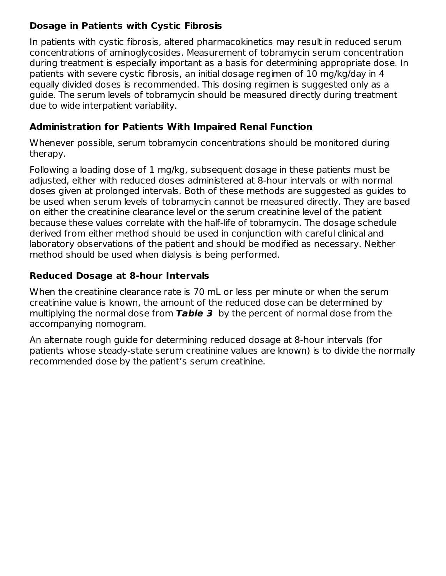## **Dosage in Patients with Cystic Fibrosis**

In patients with cystic fibrosis, altered pharmacokinetics may result in reduced serum concentrations of aminoglycosides. Measurement of tobramycin serum concentration during treatment is especially important as a basis for determining appropriate dose. In patients with severe cystic fibrosis, an initial dosage regimen of 10 mg/kg/day in 4 equally divided doses is recommended. This dosing regimen is suggested only as a guide. The serum levels of tobramycin should be measured directly during treatment due to wide interpatient variability.

## **Administration for Patients With Impaired Renal Function**

Whenever possible, serum tobramycin concentrations should be monitored during therapy.

Following a loading dose of 1 mg/kg, subsequent dosage in these patients must be adjusted, either with reduced doses administered at 8-hour intervals or with normal doses given at prolonged intervals. Both of these methods are suggested as guides to be used when serum levels of tobramycin cannot be measured directly. They are based on either the creatinine clearance level or the serum creatinine level of the patient because these values correlate with the half-life of tobramycin. The dosage schedule derived from either method should be used in conjunction with careful clinical and laboratory observations of the patient and should be modified as necessary. Neither method should be used when dialysis is being performed.

## **Reduced Dosage at 8-hour Intervals**

When the creatinine clearance rate is 70 mL or less per minute or when the serum creatinine value is known, the amount of the reduced dose can be determined by multiplying the normal dose from **Table 3** by the percent of normal dose from the accompanying nomogram.

An alternate rough guide for determining reduced dosage at 8-hour intervals (for patients whose steady-state serum creatinine values are known) is to divide the normally recommended dose by the patient's serum creatinine.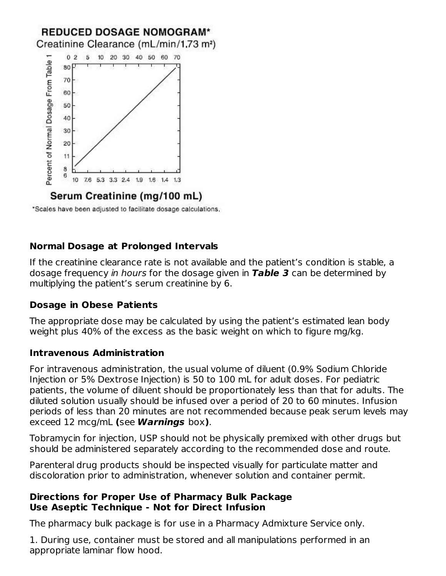## **REDUCED DOSAGE NOMOGRAM\***

Creatinine Clearance (mL/min/1.73 m<sup>2</sup>)



\*Scales have been adjusted to facilitate dosage calculations.

#### **Normal Dosage at Prolonged Intervals**

If the creatinine clearance rate is not available and the patient's condition is stable, a dosage frequency in hours for the dosage given in **Table 3** can be determined by multiplying the patient's serum creatinine by 6.

### **Dosage in Obese Patients**

The appropriate dose may be calculated by using the patient's estimated lean body weight plus 40% of the excess as the basic weight on which to figure mg/kg.

#### **Intravenous Administration**

For intravenous administration, the usual volume of diluent (0.9% Sodium Chloride Injection or 5% Dextrose Injection) is 50 to 100 mL for adult doses. For pediatric patients, the volume of diluent should be proportionately less than that for adults. The diluted solution usually should be infused over a period of 20 to 60 minutes. Infusion periods of less than 20 minutes are not recommended because peak serum levels may exceed 12 mcg/mL **(**see **Warnings** box**)**.

Tobramycin for injection, USP should not be physically premixed with other drugs but should be administered separately according to the recommended dose and route.

Parenteral drug products should be inspected visually for particulate matter and discoloration prior to administration, whenever solution and container permit.

#### **Directions for Proper Use of Pharmacy Bulk Package Use Aseptic Technique - Not for Direct Infusion**

The pharmacy bulk package is for use in a Pharmacy Admixture Service only.

1. During use, container must be stored and all manipulations performed in an appropriate laminar flow hood.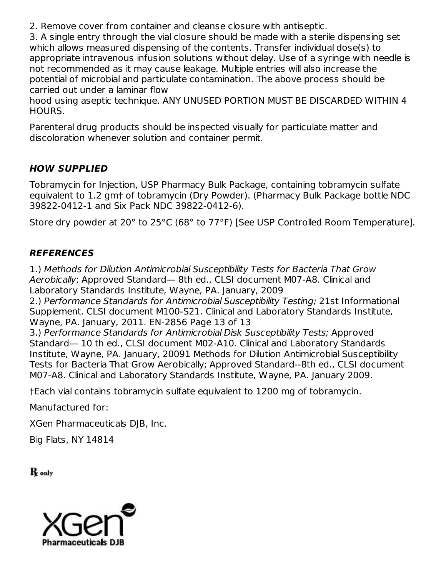2. Remove cover from container and cleanse closure with antiseptic.

3. A single entry through the vial closure should be made with a sterile dispensing set which allows measured dispensing of the contents. Transfer individual dose(s) to appropriate intravenous infusion solutions without delay. Use of a syringe with needle is not recommended as it may cause leakage. Multiple entries will also increase the potential of microbial and particulate contamination. The above process should be carried out under a laminar flow

hood using aseptic technique. ANY UNUSED PORTION MUST BE DISCARDED WITHIN 4 HOURS.

Parenteral drug products should be inspected visually for particulate matter and discoloration whenever solution and container permit.

## **HOW SUPPLIED**

Tobramycin for Injection, USP Pharmacy Bulk Package, containing tobramycin sulfate equivalent to 1.2 gm† of tobramycin (Dry Powder). (Pharmacy Bulk Package bottle NDC 39822-0412-1 and Six Pack NDC 39822-0412-6).

Store dry powder at 20° to 25°C (68° to 77°F) [See USP Controlled Room Temperature].

## **REFERENCES**

1.) Methods for Dilution Antimicrobial Susceptibility Tests for Bacteria That Grow Aerobically; Approved Standard— 8th ed., CLSI document M07-A8. Clinical and Laboratory Standards Institute, Wayne, PA. January, 2009

2.) Performance Standards for Antimicrobial Susceptibility Testing; 21st Informational Supplement. CLSI document M100-S21. Clinical and Laboratory Standards Institute, Wayne, PA. January, 2011. EN-2856 Page 13 of 13

3.) Performance Standards for Antimicrobial Disk Susceptibility Tests; Approved Standard— 10 th ed., CLSI document M02-A10. Clinical and Laboratory Standards Institute, Wayne, PA. January, 20091 Methods for Dilution Antimicrobial Susceptibility Tests for Bacteria That Grow Aerobically; Approved Standard--8th ed., CLSI document M07-A8. Clinical and Laboratory Standards Institute, Wayne, PA. January 2009.

†Each vial contains tobramycin sulfate equivalent to 1200 mg of tobramycin.

Manufactured for:

XGen Pharmaceuticals DJB, Inc.

Big Flats, NY 14814

 $\mathbf R$  only

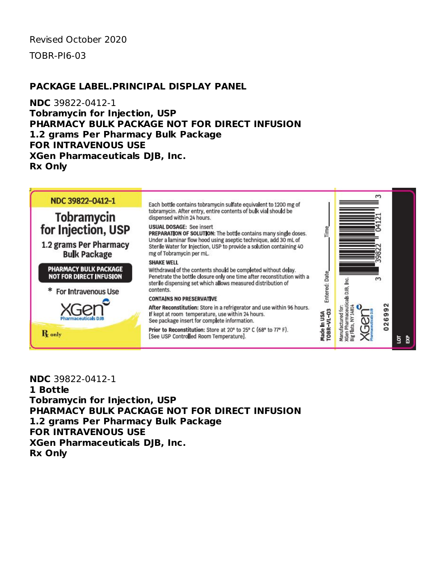Revised October 2020

TOBR-PI6-03

#### **PACKAGE LABEL.PRINCIPAL DISPLAY PANEL**

**NDC** 39822-0412-1 **Tobramycin for Injection, USP PHARMACY BULK PACKAGE NOT FOR DIRECT INFUSION 1.2 grams Per Pharmacy Bulk Package FOR INTRAVENOUS USE XGen Pharmaceuticals DJB, Inc. Rx Only**



**NDC** 39822-0412-1 **1 Bottle Tobramycin for Injection, USP PHARMACY BULK PACKAGE NOT FOR DIRECT INFUSION 1.2 grams Per Pharmacy Bulk Package FOR INTRAVENOUS USE XGen Pharmaceuticals DJB, Inc. Rx Only**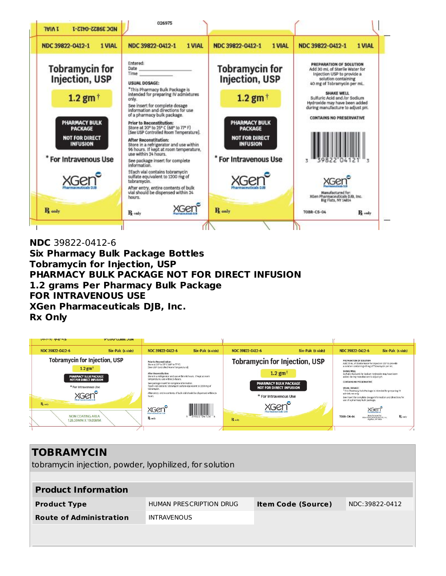

**NDC** 39822-0412-6 **Six Pharmacy Bulk Package Bottles Tobramycin for Injection, USP PHARMACY BULK PACKAGE NOT FOR DIRECT INFUSION 1.2 grams Per Pharmacy Bulk Package FOR INTRAVENOUS USE XGen Pharmaceuticals DJB, Inc. Rx Only**



| <b>TOBRAMYCIN</b><br>tobramycin injection, powder, lyophilized, for solution |                         |                           |                |  |  |  |
|------------------------------------------------------------------------------|-------------------------|---------------------------|----------------|--|--|--|
| <b>Product Information</b>                                                   |                         |                           |                |  |  |  |
| <b>Product Type</b>                                                          | HUMAN PRESCRIPTION DRUG | <b>Item Code (Source)</b> | NDC:39822-0412 |  |  |  |
| <b>Route of Administration</b>                                               | <b>INTRAVENOUS</b>      |                           |                |  |  |  |
|                                                                              |                         |                           |                |  |  |  |